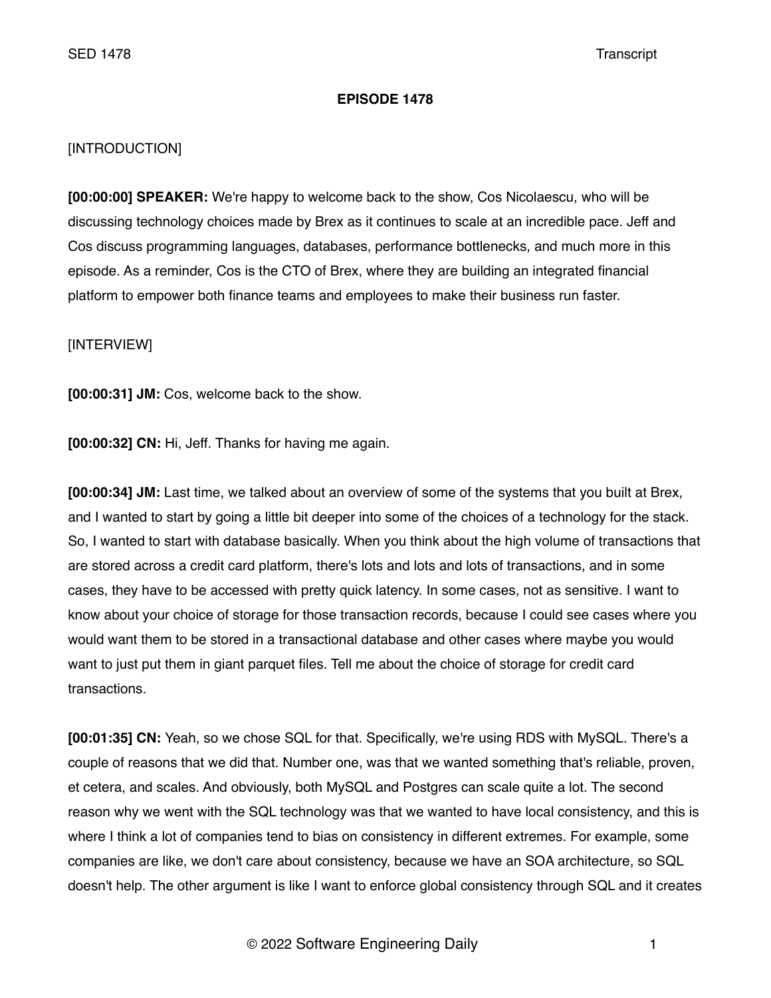## **EPISODE 1478**

# [INTRODUCTION]

**[00:00:00] SPEAKER:** We're happy to welcome back to the show, Cos Nicolaescu, who will be discussing technology choices made by Brex as it continues to scale at an incredible pace. Jeff and Cos discuss programming languages, databases, performance bottlenecks, and much more in this episode. As a reminder, Cos is the CTO of Brex, where they are building an integrated financial platform to empower both finance teams and employees to make their business run faster.

[INTERVIEW]

**[00:00:31] JM:** Cos, welcome back to the show.

**[00:00:32] CN:** Hi, Jeff. Thanks for having me again.

**[00:00:34] JM:** Last time, we talked about an overview of some of the systems that you built at Brex, and I wanted to start by going a little bit deeper into some of the choices of a technology for the stack. So, I wanted to start with database basically. When you think about the high volume of transactions that are stored across a credit card platform, there's lots and lots and lots of transactions, and in some cases, they have to be accessed with pretty quick latency. In some cases, not as sensitive. I want to know about your choice of storage for those transaction records, because I could see cases where you would want them to be stored in a transactional database and other cases where maybe you would want to just put them in giant parquet files. Tell me about the choice of storage for credit card transactions.

**[00:01:35] CN:** Yeah, so we chose SQL for that. Specifically, we're using RDS with MySQL. There's a couple of reasons that we did that. Number one, was that we wanted something that's reliable, proven, et cetera, and scales. And obviously, both MySQL and Postgres can scale quite a lot. The second reason why we went with the SQL technology was that we wanted to have local consistency, and this is where I think a lot of companies tend to bias on consistency in different extremes. For example, some companies are like, we don't care about consistency, because we have an SOA architecture, so SQL doesn't help. The other argument is like I want to enforce global consistency through SQL and it creates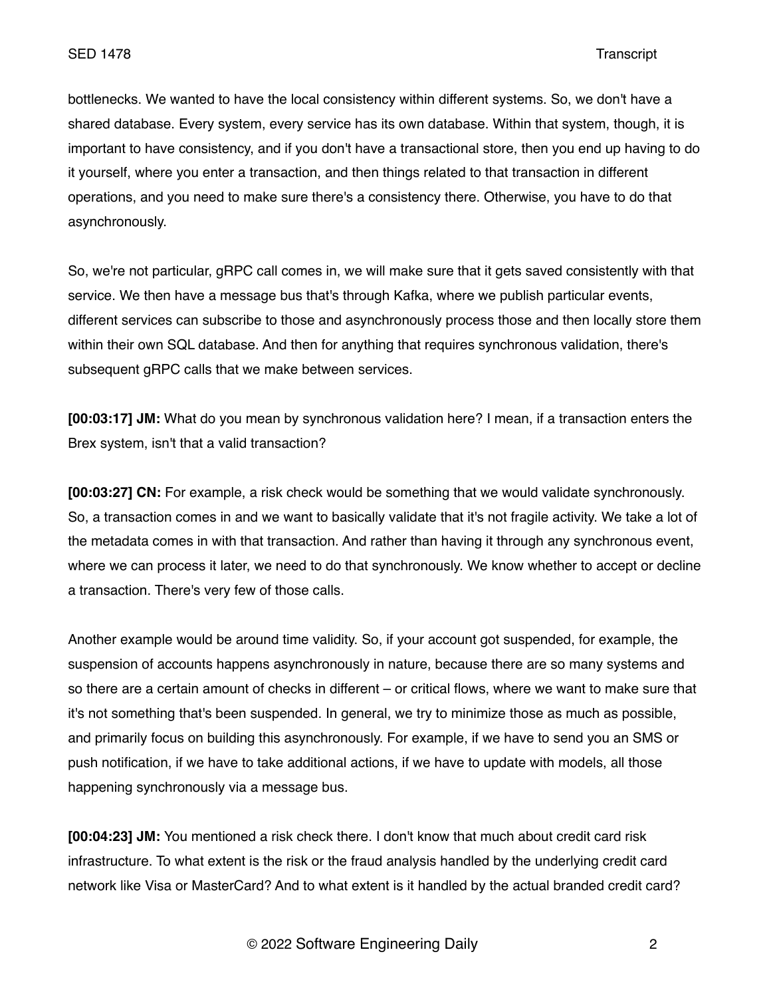bottlenecks. We wanted to have the local consistency within different systems. So, we don't have a shared database. Every system, every service has its own database. Within that system, though, it is important to have consistency, and if you don't have a transactional store, then you end up having to do it yourself, where you enter a transaction, and then things related to that transaction in different operations, and you need to make sure there's a consistency there. Otherwise, you have to do that asynchronously.

So, we're not particular, gRPC call comes in, we will make sure that it gets saved consistently with that service. We then have a message bus that's through Kafka, where we publish particular events, different services can subscribe to those and asynchronously process those and then locally store them within their own SQL database. And then for anything that requires synchronous validation, there's subsequent gRPC calls that we make between services.

**[00:03:17] JM:** What do you mean by synchronous validation here? I mean, if a transaction enters the Brex system, isn't that a valid transaction?

**[00:03:27] CN:** For example, a risk check would be something that we would validate synchronously. So, a transaction comes in and we want to basically validate that it's not fragile activity. We take a lot of the metadata comes in with that transaction. And rather than having it through any synchronous event, where we can process it later, we need to do that synchronously. We know whether to accept or decline a transaction. There's very few of those calls.

Another example would be around time validity. So, if your account got suspended, for example, the suspension of accounts happens asynchronously in nature, because there are so many systems and so there are a certain amount of checks in different – or critical flows, where we want to make sure that it's not something that's been suspended. In general, we try to minimize those as much as possible, and primarily focus on building this asynchronously. For example, if we have to send you an SMS or push notification, if we have to take additional actions, if we have to update with models, all those happening synchronously via a message bus.

**[00:04:23] JM:** You mentioned a risk check there. I don't know that much about credit card risk infrastructure. To what extent is the risk or the fraud analysis handled by the underlying credit card network like Visa or MasterCard? And to what extent is it handled by the actual branded credit card?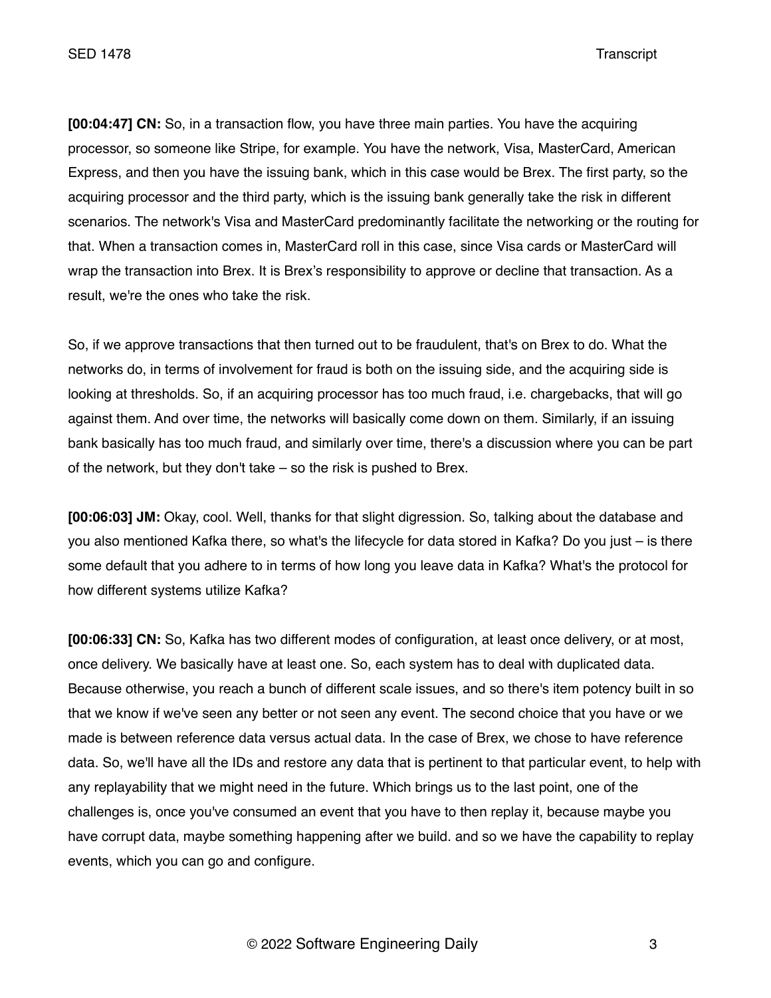**[00:04:47] CN:** So, in a transaction flow, you have three main parties. You have the acquiring processor, so someone like Stripe, for example. You have the network, Visa, MasterCard, American Express, and then you have the issuing bank, which in this case would be Brex. The first party, so the acquiring processor and the third party, which is the issuing bank generally take the risk in different scenarios. The network's Visa and MasterCard predominantly facilitate the networking or the routing for that. When a transaction comes in, MasterCard roll in this case, since Visa cards or MasterCard will wrap the transaction into Brex. It is Brex's responsibility to approve or decline that transaction. As a result, we're the ones who take the risk.

So, if we approve transactions that then turned out to be fraudulent, that's on Brex to do. What the networks do, in terms of involvement for fraud is both on the issuing side, and the acquiring side is looking at thresholds. So, if an acquiring processor has too much fraud, i.e. chargebacks, that will go against them. And over time, the networks will basically come down on them. Similarly, if an issuing bank basically has too much fraud, and similarly over time, there's a discussion where you can be part of the network, but they don't take – so the risk is pushed to Brex.

**[00:06:03] JM:** Okay, cool. Well, thanks for that slight digression. So, talking about the database and you also mentioned Kafka there, so what's the lifecycle for data stored in Kafka? Do you just – is there some default that you adhere to in terms of how long you leave data in Kafka? What's the protocol for how different systems utilize Kafka?

**[00:06:33] CN:** So, Kafka has two different modes of configuration, at least once delivery, or at most, once delivery. We basically have at least one. So, each system has to deal with duplicated data. Because otherwise, you reach a bunch of different scale issues, and so there's item potency built in so that we know if we've seen any better or not seen any event. The second choice that you have or we made is between reference data versus actual data. In the case of Brex, we chose to have reference data. So, we'll have all the IDs and restore any data that is pertinent to that particular event, to help with any replayability that we might need in the future. Which brings us to the last point, one of the challenges is, once you've consumed an event that you have to then replay it, because maybe you have corrupt data, maybe something happening after we build. and so we have the capability to replay events, which you can go and configure.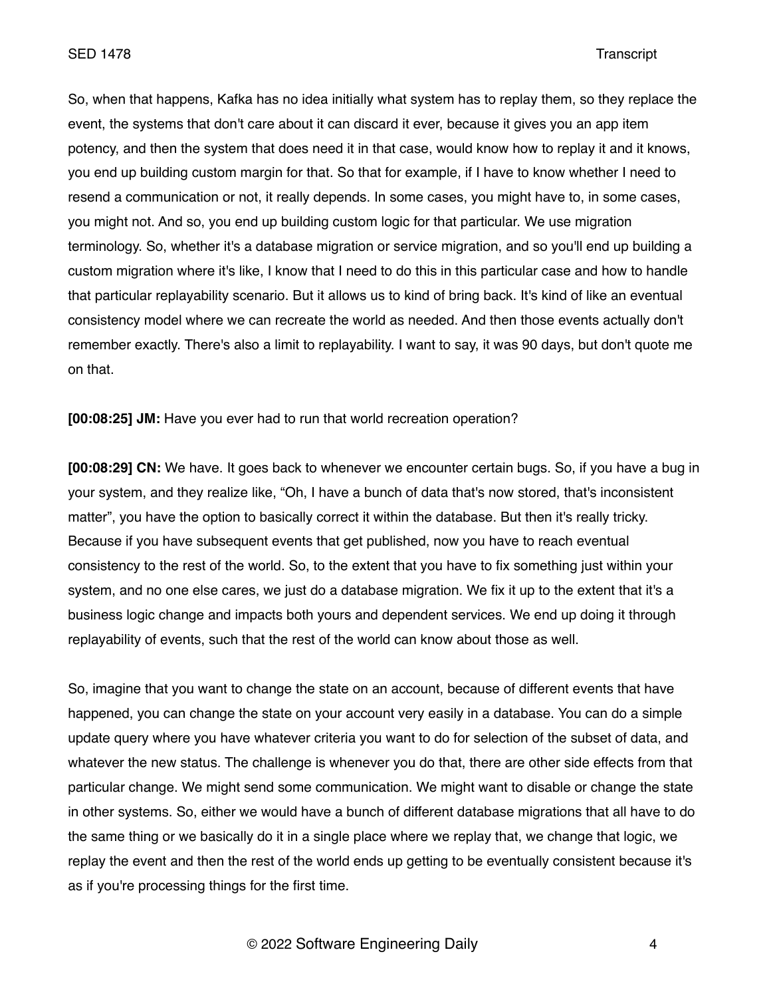So, when that happens, Kafka has no idea initially what system has to replay them, so they replace the event, the systems that don't care about it can discard it ever, because it gives you an app item potency, and then the system that does need it in that case, would know how to replay it and it knows, you end up building custom margin for that. So that for example, if I have to know whether I need to resend a communication or not, it really depends. In some cases, you might have to, in some cases, you might not. And so, you end up building custom logic for that particular. We use migration terminology. So, whether it's a database migration or service migration, and so you'll end up building a custom migration where it's like, I know that I need to do this in this particular case and how to handle that particular replayability scenario. But it allows us to kind of bring back. It's kind of like an eventual consistency model where we can recreate the world as needed. And then those events actually don't remember exactly. There's also a limit to replayability. I want to say, it was 90 days, but don't quote me on that.

**[00:08:25] JM:** Have you ever had to run that world recreation operation?

**[00:08:29] CN:** We have. It goes back to whenever we encounter certain bugs. So, if you have a bug in your system, and they realize like, "Oh, I have a bunch of data that's now stored, that's inconsistent matter", you have the option to basically correct it within the database. But then it's really tricky. Because if you have subsequent events that get published, now you have to reach eventual consistency to the rest of the world. So, to the extent that you have to fix something just within your system, and no one else cares, we just do a database migration. We fix it up to the extent that it's a business logic change and impacts both yours and dependent services. We end up doing it through replayability of events, such that the rest of the world can know about those as well.

So, imagine that you want to change the state on an account, because of different events that have happened, you can change the state on your account very easily in a database. You can do a simple update query where you have whatever criteria you want to do for selection of the subset of data, and whatever the new status. The challenge is whenever you do that, there are other side effects from that particular change. We might send some communication. We might want to disable or change the state in other systems. So, either we would have a bunch of different database migrations that all have to do the same thing or we basically do it in a single place where we replay that, we change that logic, we replay the event and then the rest of the world ends up getting to be eventually consistent because it's as if you're processing things for the first time.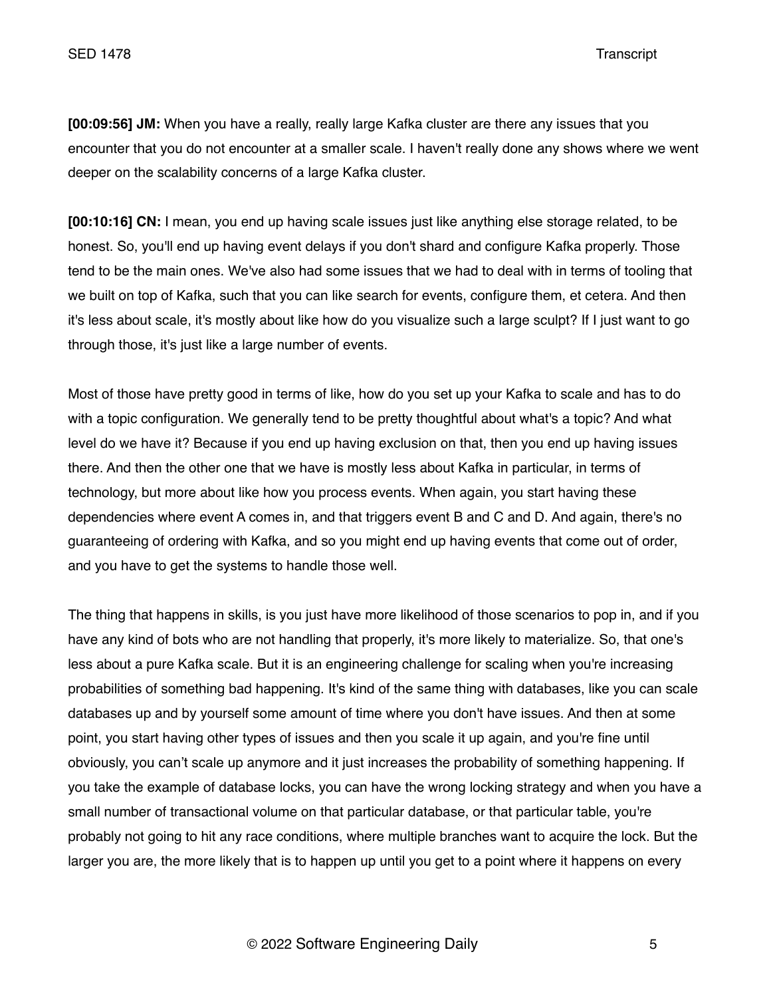**[00:09:56] JM:** When you have a really, really large Kafka cluster are there any issues that you encounter that you do not encounter at a smaller scale. I haven't really done any shows where we went deeper on the scalability concerns of a large Kafka cluster.

**[00:10:16] CN:** I mean, you end up having scale issues just like anything else storage related, to be honest. So, you'll end up having event delays if you don't shard and configure Kafka properly. Those tend to be the main ones. We've also had some issues that we had to deal with in terms of tooling that we built on top of Kafka, such that you can like search for events, configure them, et cetera. And then it's less about scale, it's mostly about like how do you visualize such a large sculpt? If I just want to go through those, it's just like a large number of events.

Most of those have pretty good in terms of like, how do you set up your Kafka to scale and has to do with a topic configuration. We generally tend to be pretty thoughtful about what's a topic? And what level do we have it? Because if you end up having exclusion on that, then you end up having issues there. And then the other one that we have is mostly less about Kafka in particular, in terms of technology, but more about like how you process events. When again, you start having these dependencies where event A comes in, and that triggers event B and C and D. And again, there's no guaranteeing of ordering with Kafka, and so you might end up having events that come out of order, and you have to get the systems to handle those well.

The thing that happens in skills, is you just have more likelihood of those scenarios to pop in, and if you have any kind of bots who are not handling that properly, it's more likely to materialize. So, that one's less about a pure Kafka scale. But it is an engineering challenge for scaling when you're increasing probabilities of something bad happening. It's kind of the same thing with databases, like you can scale databases up and by yourself some amount of time where you don't have issues. And then at some point, you start having other types of issues and then you scale it up again, and you're fine until obviously, you can't scale up anymore and it just increases the probability of something happening. If you take the example of database locks, you can have the wrong locking strategy and when you have a small number of transactional volume on that particular database, or that particular table, you're probably not going to hit any race conditions, where multiple branches want to acquire the lock. But the larger you are, the more likely that is to happen up until you get to a point where it happens on every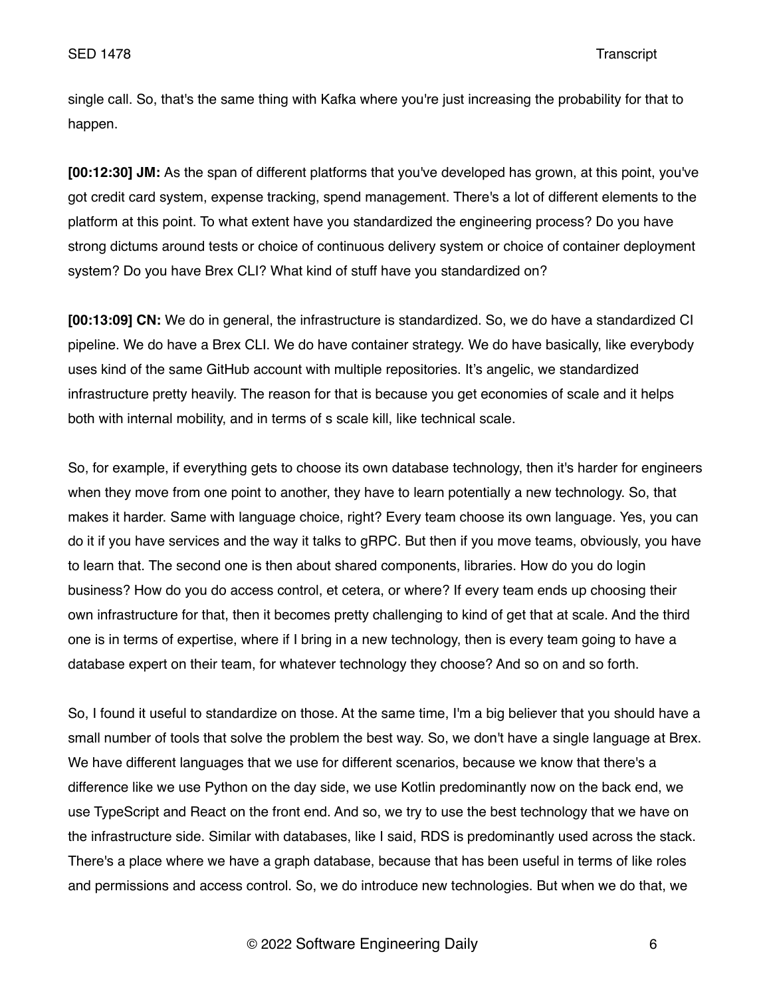single call. So, that's the same thing with Kafka where you're just increasing the probability for that to happen.

**[00:12:30] JM:** As the span of different platforms that you've developed has grown, at this point, you've got credit card system, expense tracking, spend management. There's a lot of different elements to the platform at this point. To what extent have you standardized the engineering process? Do you have strong dictums around tests or choice of continuous delivery system or choice of container deployment system? Do you have Brex CLI? What kind of stuff have you standardized on?

**[00:13:09] CN:** We do in general, the infrastructure is standardized. So, we do have a standardized CI pipeline. We do have a Brex CLI. We do have container strategy. We do have basically, like everybody uses kind of the same GitHub account with multiple repositories. It's angelic, we standardized infrastructure pretty heavily. The reason for that is because you get economies of scale and it helps both with internal mobility, and in terms of s scale kill, like technical scale.

So, for example, if everything gets to choose its own database technology, then it's harder for engineers when they move from one point to another, they have to learn potentially a new technology. So, that makes it harder. Same with language choice, right? Every team choose its own language. Yes, you can do it if you have services and the way it talks to gRPC. But then if you move teams, obviously, you have to learn that. The second one is then about shared components, libraries. How do you do login business? How do you do access control, et cetera, or where? If every team ends up choosing their own infrastructure for that, then it becomes pretty challenging to kind of get that at scale. And the third one is in terms of expertise, where if I bring in a new technology, then is every team going to have a database expert on their team, for whatever technology they choose? And so on and so forth.

So, I found it useful to standardize on those. At the same time, I'm a big believer that you should have a small number of tools that solve the problem the best way. So, we don't have a single language at Brex. We have different languages that we use for different scenarios, because we know that there's a difference like we use Python on the day side, we use Kotlin predominantly now on the back end, we use TypeScript and React on the front end. And so, we try to use the best technology that we have on the infrastructure side. Similar with databases, like I said, RDS is predominantly used across the stack. There's a place where we have a graph database, because that has been useful in terms of like roles and permissions and access control. So, we do introduce new technologies. But when we do that, we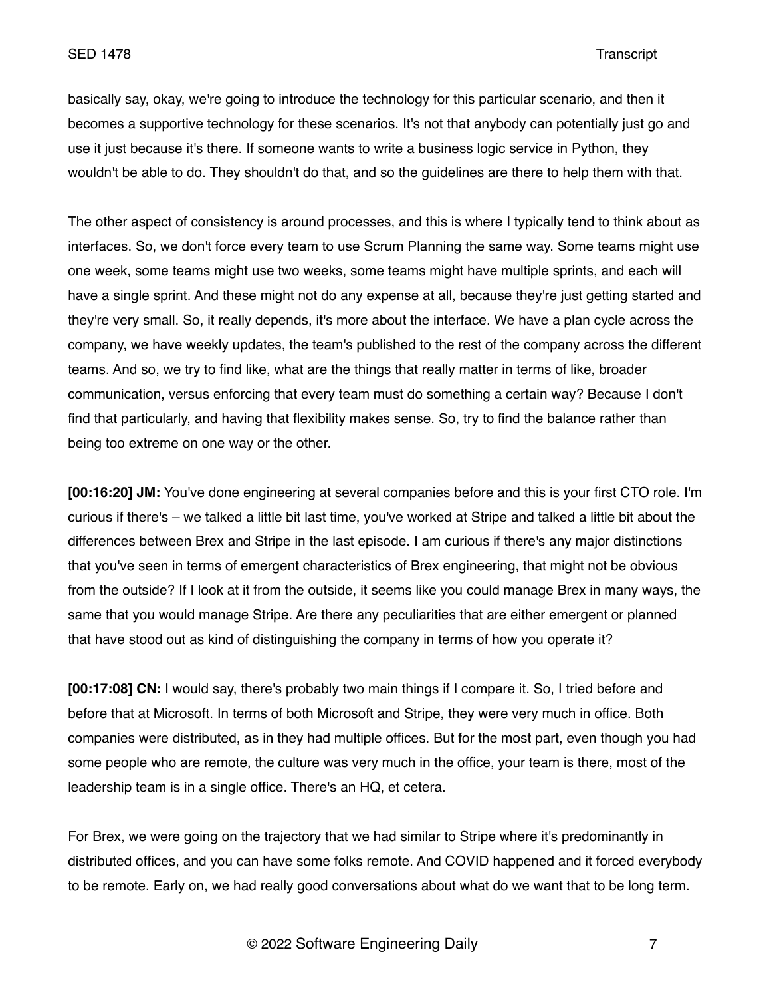basically say, okay, we're going to introduce the technology for this particular scenario, and then it becomes a supportive technology for these scenarios. It's not that anybody can potentially just go and use it just because it's there. If someone wants to write a business logic service in Python, they wouldn't be able to do. They shouldn't do that, and so the guidelines are there to help them with that.

The other aspect of consistency is around processes, and this is where I typically tend to think about as interfaces. So, we don't force every team to use Scrum Planning the same way. Some teams might use one week, some teams might use two weeks, some teams might have multiple sprints, and each will have a single sprint. And these might not do any expense at all, because they're just getting started and they're very small. So, it really depends, it's more about the interface. We have a plan cycle across the company, we have weekly updates, the team's published to the rest of the company across the different teams. And so, we try to find like, what are the things that really matter in terms of like, broader communication, versus enforcing that every team must do something a certain way? Because I don't find that particularly, and having that flexibility makes sense. So, try to find the balance rather than being too extreme on one way or the other.

**[00:16:20] JM:** You've done engineering at several companies before and this is your first CTO role. I'm curious if there's – we talked a little bit last time, you've worked at Stripe and talked a little bit about the differences between Brex and Stripe in the last episode. I am curious if there's any major distinctions that you've seen in terms of emergent characteristics of Brex engineering, that might not be obvious from the outside? If I look at it from the outside, it seems like you could manage Brex in many ways, the same that you would manage Stripe. Are there any peculiarities that are either emergent or planned that have stood out as kind of distinguishing the company in terms of how you operate it?

**[00:17:08] CN:** I would say, there's probably two main things if I compare it. So, I tried before and before that at Microsoft. In terms of both Microsoft and Stripe, they were very much in office. Both companies were distributed, as in they had multiple offices. But for the most part, even though you had some people who are remote, the culture was very much in the office, your team is there, most of the leadership team is in a single office. There's an HQ, et cetera.

For Brex, we were going on the trajectory that we had similar to Stripe where it's predominantly in distributed offices, and you can have some folks remote. And COVID happened and it forced everybody to be remote. Early on, we had really good conversations about what do we want that to be long term.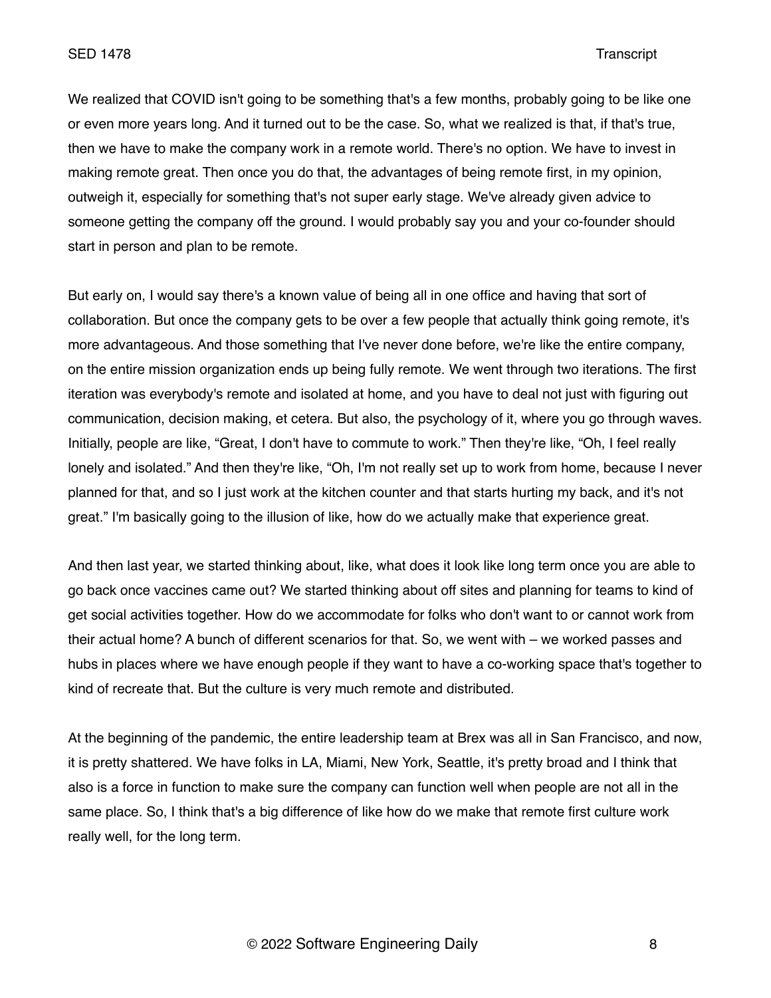We realized that COVID isn't going to be something that's a few months, probably going to be like one or even more years long. And it turned out to be the case. So, what we realized is that, if that's true, then we have to make the company work in a remote world. There's no option. We have to invest in making remote great. Then once you do that, the advantages of being remote first, in my opinion, outweigh it, especially for something that's not super early stage. We've already given advice to someone getting the company off the ground. I would probably say you and your co-founder should start in person and plan to be remote.

But early on, I would say there's a known value of being all in one office and having that sort of collaboration. But once the company gets to be over a few people that actually think going remote, it's more advantageous. And those something that I've never done before, we're like the entire company, on the entire mission organization ends up being fully remote. We went through two iterations. The first iteration was everybody's remote and isolated at home, and you have to deal not just with figuring out communication, decision making, et cetera. But also, the psychology of it, where you go through waves. Initially, people are like, "Great, I don't have to commute to work." Then they're like, "Oh, I feel really lonely and isolated." And then they're like, "Oh, I'm not really set up to work from home, because I never planned for that, and so I just work at the kitchen counter and that starts hurting my back, and it's not great." I'm basically going to the illusion of like, how do we actually make that experience great.

And then last year, we started thinking about, like, what does it look like long term once you are able to go back once vaccines came out? We started thinking about off sites and planning for teams to kind of get social activities together. How do we accommodate for folks who don't want to or cannot work from their actual home? A bunch of different scenarios for that. So, we went with – we worked passes and hubs in places where we have enough people if they want to have a co-working space that's together to kind of recreate that. But the culture is very much remote and distributed.

At the beginning of the pandemic, the entire leadership team at Brex was all in San Francisco, and now, it is pretty shattered. We have folks in LA, Miami, New York, Seattle, it's pretty broad and I think that also is a force in function to make sure the company can function well when people are not all in the same place. So, I think that's a big difference of like how do we make that remote first culture work really well, for the long term.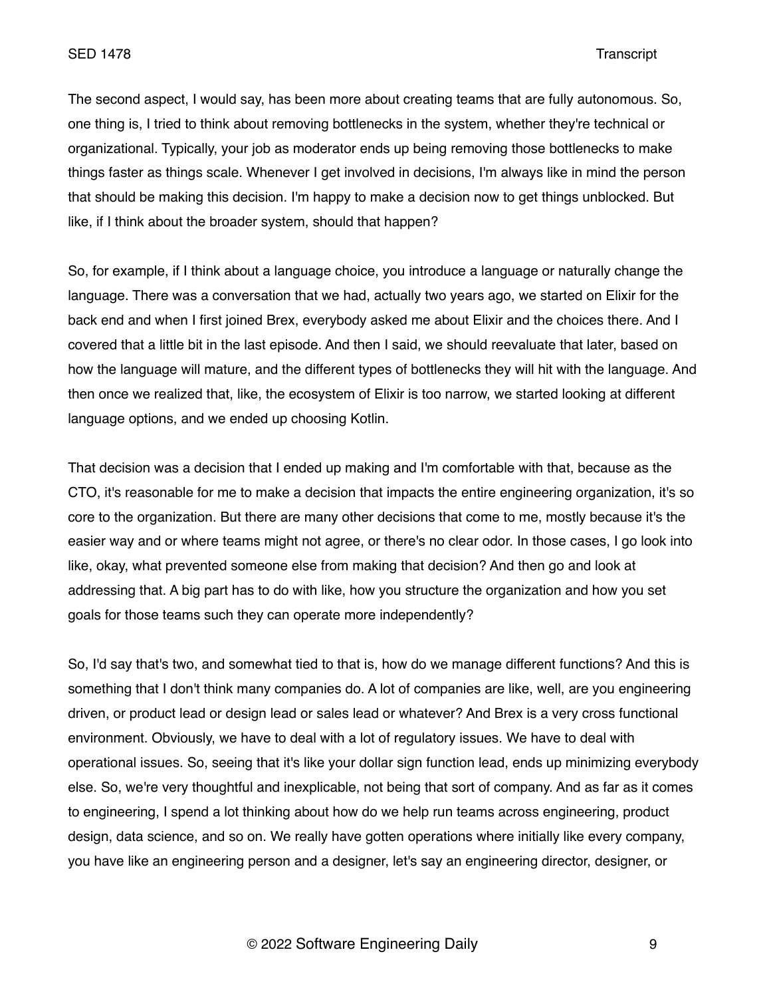The second aspect, I would say, has been more about creating teams that are fully autonomous. So, one thing is, I tried to think about removing bottlenecks in the system, whether they're technical or organizational. Typically, your job as moderator ends up being removing those bottlenecks to make things faster as things scale. Whenever I get involved in decisions, I'm always like in mind the person that should be making this decision. I'm happy to make a decision now to get things unblocked. But like, if I think about the broader system, should that happen?

So, for example, if I think about a language choice, you introduce a language or naturally change the language. There was a conversation that we had, actually two years ago, we started on Elixir for the back end and when I first joined Brex, everybody asked me about Elixir and the choices there. And I covered that a little bit in the last episode. And then I said, we should reevaluate that later, based on how the language will mature, and the different types of bottlenecks they will hit with the language. And then once we realized that, like, the ecosystem of Elixir is too narrow, we started looking at different language options, and we ended up choosing Kotlin.

That decision was a decision that I ended up making and I'm comfortable with that, because as the CTO, it's reasonable for me to make a decision that impacts the entire engineering organization, it's so core to the organization. But there are many other decisions that come to me, mostly because it's the easier way and or where teams might not agree, or there's no clear odor. In those cases, I go look into like, okay, what prevented someone else from making that decision? And then go and look at addressing that. A big part has to do with like, how you structure the organization and how you set goals for those teams such they can operate more independently?

So, I'd say that's two, and somewhat tied to that is, how do we manage different functions? And this is something that I don't think many companies do. A lot of companies are like, well, are you engineering driven, or product lead or design lead or sales lead or whatever? And Brex is a very cross functional environment. Obviously, we have to deal with a lot of regulatory issues. We have to deal with operational issues. So, seeing that it's like your dollar sign function lead, ends up minimizing everybody else. So, we're very thoughtful and inexplicable, not being that sort of company. And as far as it comes to engineering, I spend a lot thinking about how do we help run teams across engineering, product design, data science, and so on. We really have gotten operations where initially like every company, you have like an engineering person and a designer, let's say an engineering director, designer, or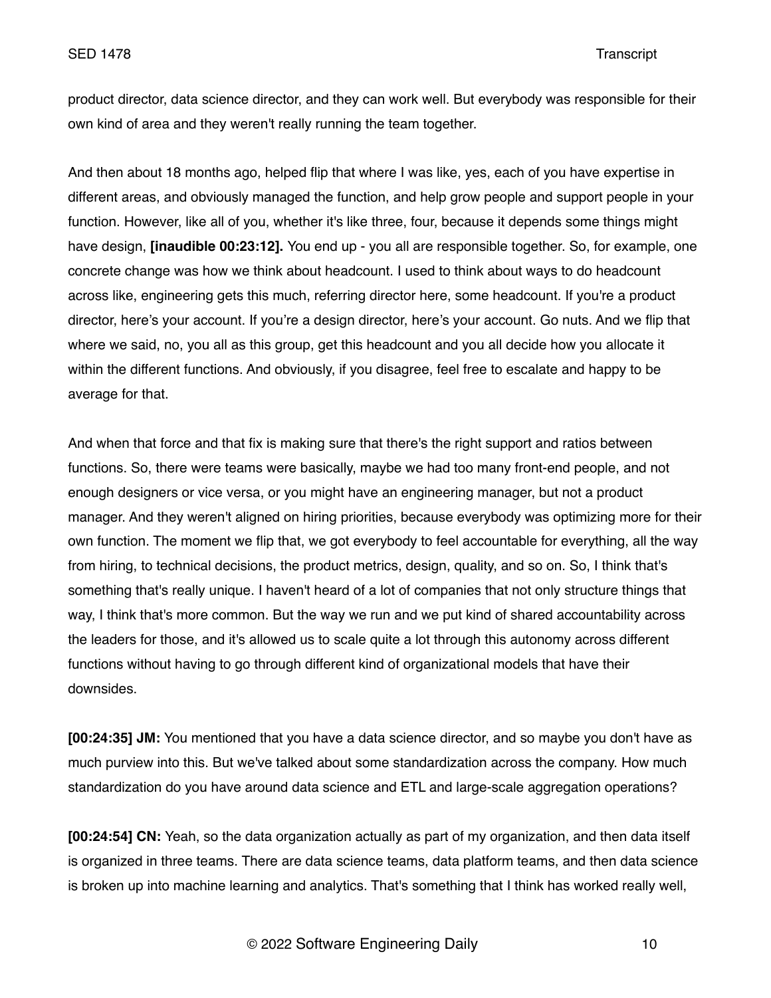product director, data science director, and they can work well. But everybody was responsible for their own kind of area and they weren't really running the team together.

And then about 18 months ago, helped flip that where I was like, yes, each of you have expertise in different areas, and obviously managed the function, and help grow people and support people in your function. However, like all of you, whether it's like three, four, because it depends some things might have design, **[inaudible 00:23:12].** You end up - you all are responsible together. So, for example, one concrete change was how we think about headcount. I used to think about ways to do headcount across like, engineering gets this much, referring director here, some headcount. If you're a product director, here's your account. If you're a design director, here's your account. Go nuts. And we flip that where we said, no, you all as this group, get this headcount and you all decide how you allocate it within the different functions. And obviously, if you disagree, feel free to escalate and happy to be average for that.

And when that force and that fix is making sure that there's the right support and ratios between functions. So, there were teams were basically, maybe we had too many front-end people, and not enough designers or vice versa, or you might have an engineering manager, but not a product manager. And they weren't aligned on hiring priorities, because everybody was optimizing more for their own function. The moment we flip that, we got everybody to feel accountable for everything, all the way from hiring, to technical decisions, the product metrics, design, quality, and so on. So, I think that's something that's really unique. I haven't heard of a lot of companies that not only structure things that way, I think that's more common. But the way we run and we put kind of shared accountability across the leaders for those, and it's allowed us to scale quite a lot through this autonomy across different functions without having to go through different kind of organizational models that have their downsides.

**[00:24:35] JM:** You mentioned that you have a data science director, and so maybe you don't have as much purview into this. But we've talked about some standardization across the company. How much standardization do you have around data science and ETL and large-scale aggregation operations?

**[00:24:54] CN:** Yeah, so the data organization actually as part of my organization, and then data itself is organized in three teams. There are data science teams, data platform teams, and then data science is broken up into machine learning and analytics. That's something that I think has worked really well,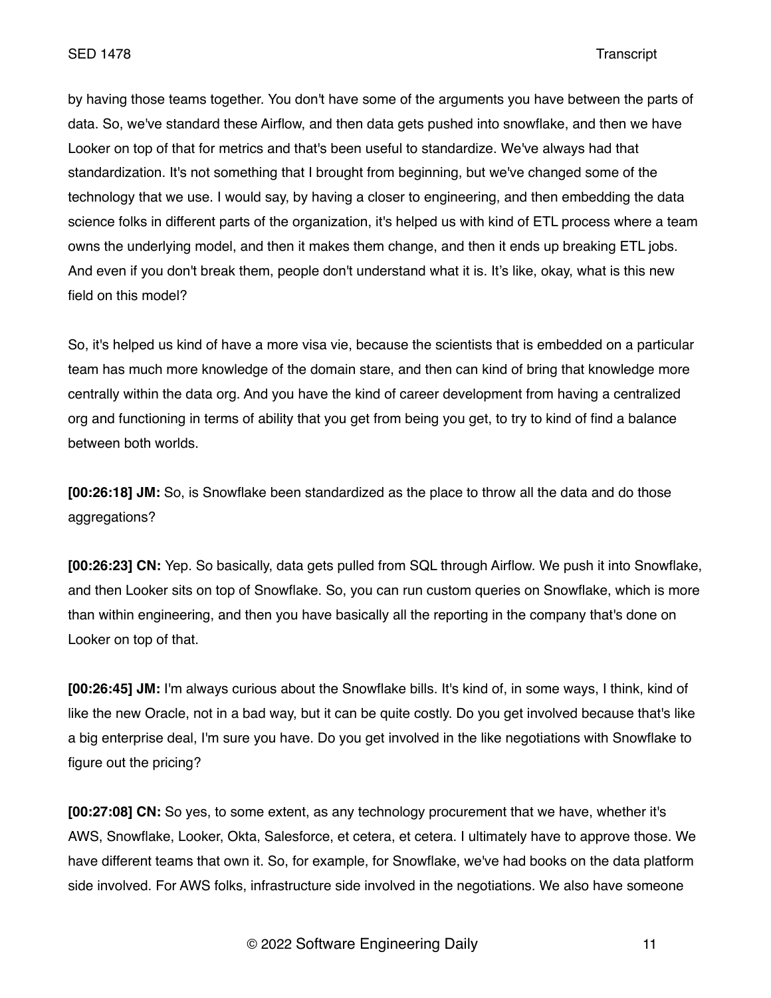by having those teams together. You don't have some of the arguments you have between the parts of data. So, we've standard these Airflow, and then data gets pushed into snowflake, and then we have Looker on top of that for metrics and that's been useful to standardize. We've always had that standardization. It's not something that I brought from beginning, but we've changed some of the technology that we use. I would say, by having a closer to engineering, and then embedding the data science folks in different parts of the organization, it's helped us with kind of ETL process where a team owns the underlying model, and then it makes them change, and then it ends up breaking ETL jobs. And even if you don't break them, people don't understand what it is. It's like, okay, what is this new field on this model?

So, it's helped us kind of have a more visa vie, because the scientists that is embedded on a particular team has much more knowledge of the domain stare, and then can kind of bring that knowledge more centrally within the data org. And you have the kind of career development from having a centralized org and functioning in terms of ability that you get from being you get, to try to kind of find a balance between both worlds.

**[00:26:18] JM:** So, is Snowflake been standardized as the place to throw all the data and do those aggregations?

**[00:26:23] CN:** Yep. So basically, data gets pulled from SQL through Airflow. We push it into Snowflake, and then Looker sits on top of Snowflake. So, you can run custom queries on Snowflake, which is more than within engineering, and then you have basically all the reporting in the company that's done on Looker on top of that.

**[00:26:45] JM:** I'm always curious about the Snowflake bills. It's kind of, in some ways, I think, kind of like the new Oracle, not in a bad way, but it can be quite costly. Do you get involved because that's like a big enterprise deal, I'm sure you have. Do you get involved in the like negotiations with Snowflake to figure out the pricing?

**[00:27:08] CN:** So yes, to some extent, as any technology procurement that we have, whether it's AWS, Snowflake, Looker, Okta, Salesforce, et cetera, et cetera. I ultimately have to approve those. We have different teams that own it. So, for example, for Snowflake, we've had books on the data platform side involved. For AWS folks, infrastructure side involved in the negotiations. We also have someone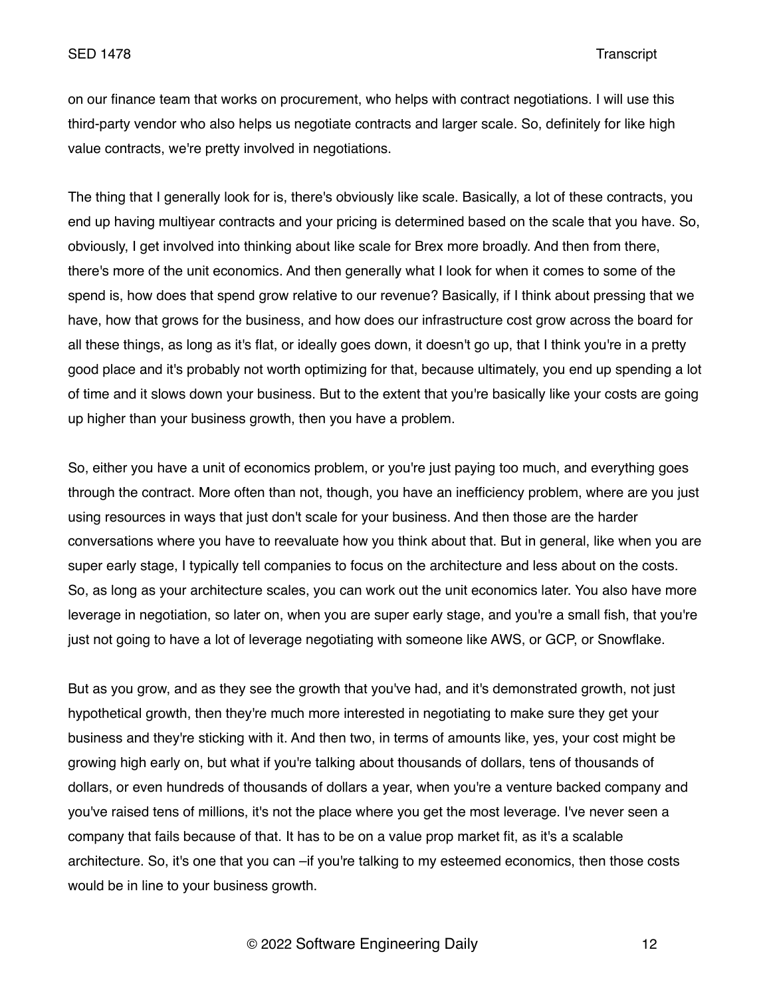on our finance team that works on procurement, who helps with contract negotiations. I will use this third-party vendor who also helps us negotiate contracts and larger scale. So, definitely for like high value contracts, we're pretty involved in negotiations.

The thing that I generally look for is, there's obviously like scale. Basically, a lot of these contracts, you end up having multiyear contracts and your pricing is determined based on the scale that you have. So, obviously, I get involved into thinking about like scale for Brex more broadly. And then from there, there's more of the unit economics. And then generally what I look for when it comes to some of the spend is, how does that spend grow relative to our revenue? Basically, if I think about pressing that we have, how that grows for the business, and how does our infrastructure cost grow across the board for all these things, as long as it's flat, or ideally goes down, it doesn't go up, that I think you're in a pretty good place and it's probably not worth optimizing for that, because ultimately, you end up spending a lot of time and it slows down your business. But to the extent that you're basically like your costs are going up higher than your business growth, then you have a problem.

So, either you have a unit of economics problem, or you're just paying too much, and everything goes through the contract. More often than not, though, you have an inefficiency problem, where are you just using resources in ways that just don't scale for your business. And then those are the harder conversations where you have to reevaluate how you think about that. But in general, like when you are super early stage, I typically tell companies to focus on the architecture and less about on the costs. So, as long as your architecture scales, you can work out the unit economics later. You also have more leverage in negotiation, so later on, when you are super early stage, and you're a small fish, that you're just not going to have a lot of leverage negotiating with someone like AWS, or GCP, or Snowflake.

But as you grow, and as they see the growth that you've had, and it's demonstrated growth, not just hypothetical growth, then they're much more interested in negotiating to make sure they get your business and they're sticking with it. And then two, in terms of amounts like, yes, your cost might be growing high early on, but what if you're talking about thousands of dollars, tens of thousands of dollars, or even hundreds of thousands of dollars a year, when you're a venture backed company and you've raised tens of millions, it's not the place where you get the most leverage. I've never seen a company that fails because of that. It has to be on a value prop market fit, as it's a scalable architecture. So, it's one that you can –if you're talking to my esteemed economics, then those costs would be in line to your business growth.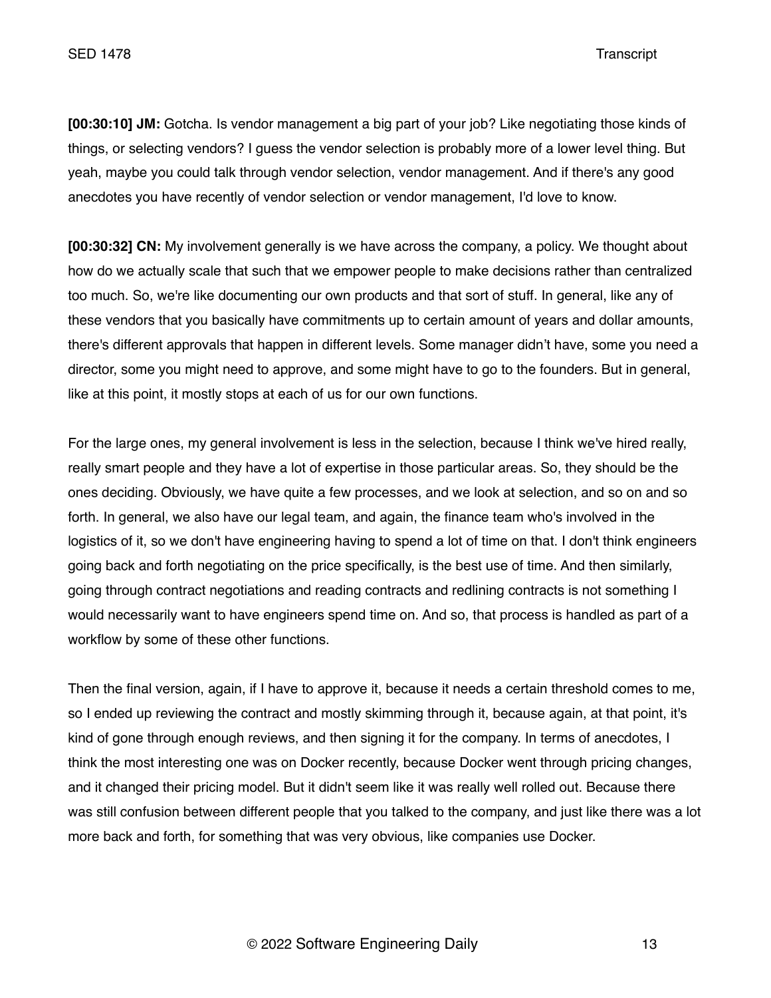**[00:30:10] JM:** Gotcha. Is vendor management a big part of your job? Like negotiating those kinds of things, or selecting vendors? I guess the vendor selection is probably more of a lower level thing. But yeah, maybe you could talk through vendor selection, vendor management. And if there's any good anecdotes you have recently of vendor selection or vendor management, I'd love to know.

**[00:30:32] CN:** My involvement generally is we have across the company, a policy. We thought about how do we actually scale that such that we empower people to make decisions rather than centralized too much. So, we're like documenting our own products and that sort of stuff. In general, like any of these vendors that you basically have commitments up to certain amount of years and dollar amounts, there's different approvals that happen in different levels. Some manager didn't have, some you need a director, some you might need to approve, and some might have to go to the founders. But in general, like at this point, it mostly stops at each of us for our own functions.

For the large ones, my general involvement is less in the selection, because I think we've hired really, really smart people and they have a lot of expertise in those particular areas. So, they should be the ones deciding. Obviously, we have quite a few processes, and we look at selection, and so on and so forth. In general, we also have our legal team, and again, the finance team who's involved in the logistics of it, so we don't have engineering having to spend a lot of time on that. I don't think engineers going back and forth negotiating on the price specifically, is the best use of time. And then similarly, going through contract negotiations and reading contracts and redlining contracts is not something I would necessarily want to have engineers spend time on. And so, that process is handled as part of a workflow by some of these other functions.

Then the final version, again, if I have to approve it, because it needs a certain threshold comes to me, so I ended up reviewing the contract and mostly skimming through it, because again, at that point, it's kind of gone through enough reviews, and then signing it for the company. In terms of anecdotes, I think the most interesting one was on Docker recently, because Docker went through pricing changes, and it changed their pricing model. But it didn't seem like it was really well rolled out. Because there was still confusion between different people that you talked to the company, and just like there was a lot more back and forth, for something that was very obvious, like companies use Docker.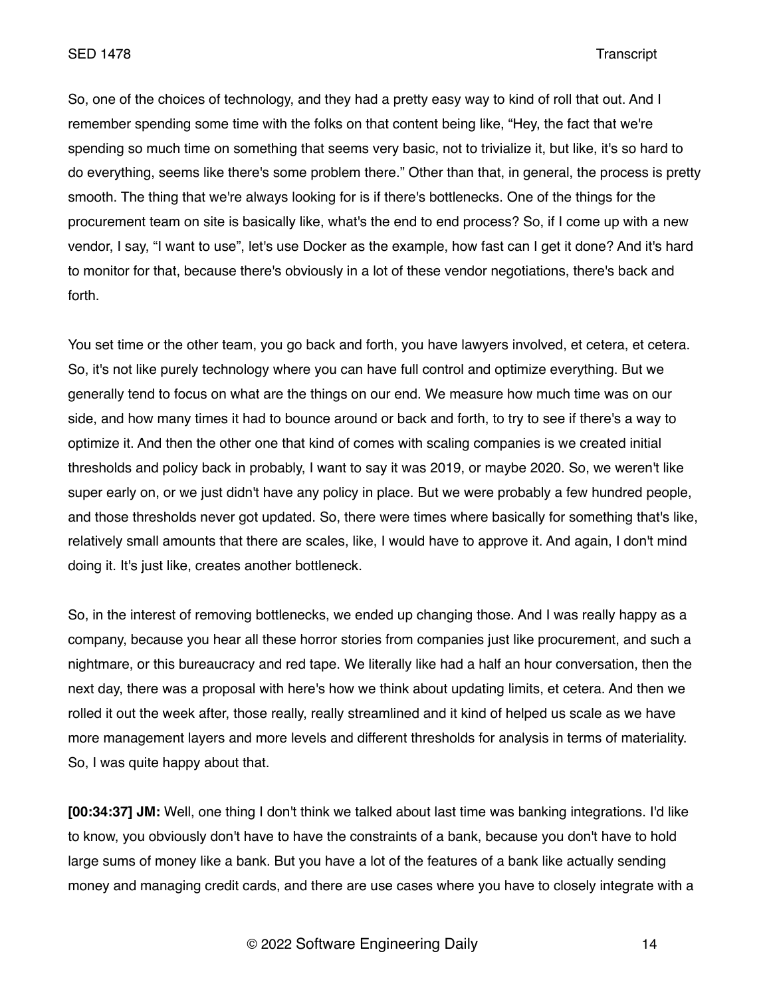So, one of the choices of technology, and they had a pretty easy way to kind of roll that out. And I remember spending some time with the folks on that content being like, "Hey, the fact that we're spending so much time on something that seems very basic, not to trivialize it, but like, it's so hard to do everything, seems like there's some problem there." Other than that, in general, the process is pretty smooth. The thing that we're always looking for is if there's bottlenecks. One of the things for the procurement team on site is basically like, what's the end to end process? So, if I come up with a new vendor, I say, "I want to use", let's use Docker as the example, how fast can I get it done? And it's hard to monitor for that, because there's obviously in a lot of these vendor negotiations, there's back and forth.

You set time or the other team, you go back and forth, you have lawyers involved, et cetera, et cetera. So, it's not like purely technology where you can have full control and optimize everything. But we generally tend to focus on what are the things on our end. We measure how much time was on our side, and how many times it had to bounce around or back and forth, to try to see if there's a way to optimize it. And then the other one that kind of comes with scaling companies is we created initial thresholds and policy back in probably, I want to say it was 2019, or maybe 2020. So, we weren't like super early on, or we just didn't have any policy in place. But we were probably a few hundred people, and those thresholds never got updated. So, there were times where basically for something that's like, relatively small amounts that there are scales, like, I would have to approve it. And again, I don't mind doing it. It's just like, creates another bottleneck.

So, in the interest of removing bottlenecks, we ended up changing those. And I was really happy as a company, because you hear all these horror stories from companies just like procurement, and such a nightmare, or this bureaucracy and red tape. We literally like had a half an hour conversation, then the next day, there was a proposal with here's how we think about updating limits, et cetera. And then we rolled it out the week after, those really, really streamlined and it kind of helped us scale as we have more management layers and more levels and different thresholds for analysis in terms of materiality. So, I was quite happy about that.

**[00:34:37] JM:** Well, one thing I don't think we talked about last time was banking integrations. I'd like to know, you obviously don't have to have the constraints of a bank, because you don't have to hold large sums of money like a bank. But you have a lot of the features of a bank like actually sending money and managing credit cards, and there are use cases where you have to closely integrate with a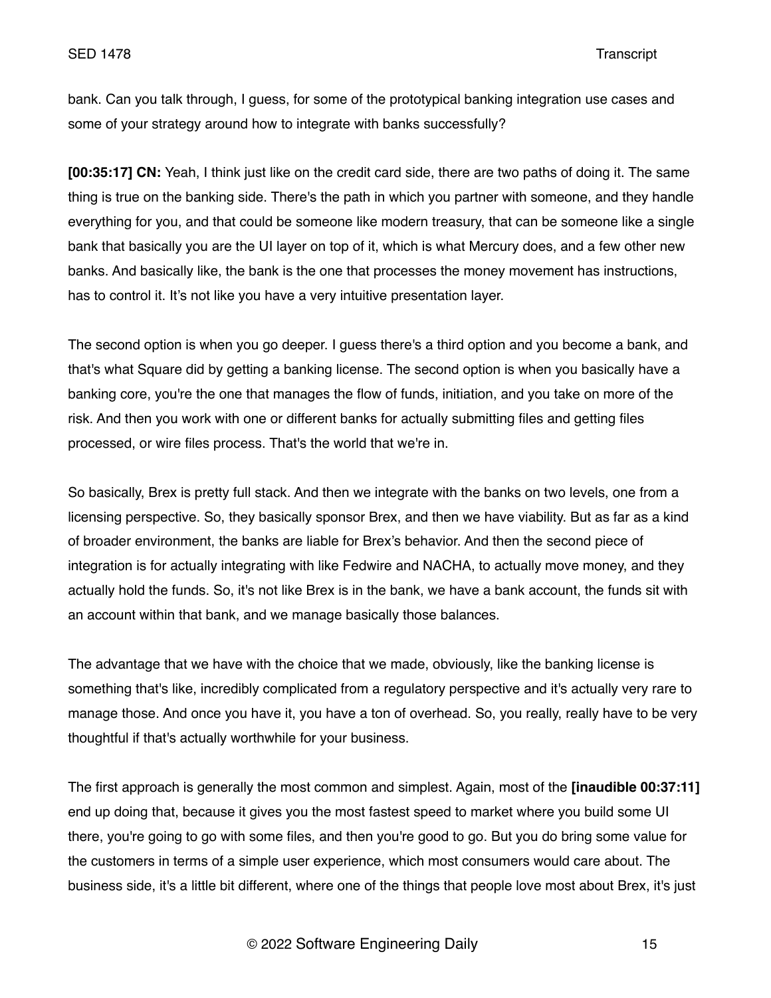bank. Can you talk through, I guess, for some of the prototypical banking integration use cases and some of your strategy around how to integrate with banks successfully?

**[00:35:17] CN:** Yeah, I think just like on the credit card side, there are two paths of doing it. The same thing is true on the banking side. There's the path in which you partner with someone, and they handle everything for you, and that could be someone like modern treasury, that can be someone like a single bank that basically you are the UI layer on top of it, which is what Mercury does, and a few other new banks. And basically like, the bank is the one that processes the money movement has instructions, has to control it. It's not like you have a very intuitive presentation layer.

The second option is when you go deeper. I guess there's a third option and you become a bank, and that's what Square did by getting a banking license. The second option is when you basically have a banking core, you're the one that manages the flow of funds, initiation, and you take on more of the risk. And then you work with one or different banks for actually submitting files and getting files processed, or wire files process. That's the world that we're in.

So basically, Brex is pretty full stack. And then we integrate with the banks on two levels, one from a licensing perspective. So, they basically sponsor Brex, and then we have viability. But as far as a kind of broader environment, the banks are liable for Brex's behavior. And then the second piece of integration is for actually integrating with like Fedwire and NACHA, to actually move money, and they actually hold the funds. So, it's not like Brex is in the bank, we have a bank account, the funds sit with an account within that bank, and we manage basically those balances.

The advantage that we have with the choice that we made, obviously, like the banking license is something that's like, incredibly complicated from a regulatory perspective and it's actually very rare to manage those. And once you have it, you have a ton of overhead. So, you really, really have to be very thoughtful if that's actually worthwhile for your business.

The first approach is generally the most common and simplest. Again, most of the **[inaudible 00:37:11]**  end up doing that, because it gives you the most fastest speed to market where you build some UI there, you're going to go with some files, and then you're good to go. But you do bring some value for the customers in terms of a simple user experience, which most consumers would care about. The business side, it's a little bit different, where one of the things that people love most about Brex, it's just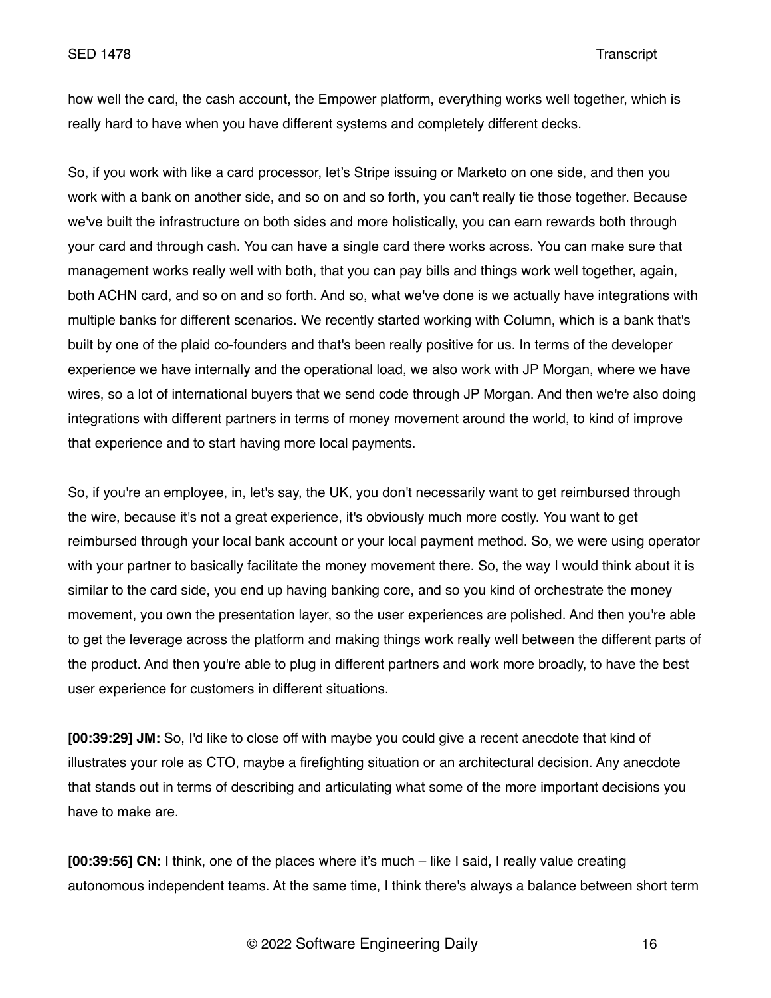how well the card, the cash account, the Empower platform, everything works well together, which is really hard to have when you have different systems and completely different decks.

So, if you work with like a card processor, let's Stripe issuing or Marketo on one side, and then you work with a bank on another side, and so on and so forth, you can't really tie those together. Because we've built the infrastructure on both sides and more holistically, you can earn rewards both through your card and through cash. You can have a single card there works across. You can make sure that management works really well with both, that you can pay bills and things work well together, again, both ACHN card, and so on and so forth. And so, what we've done is we actually have integrations with multiple banks for different scenarios. We recently started working with Column, which is a bank that's built by one of the plaid co-founders and that's been really positive for us. In terms of the developer experience we have internally and the operational load, we also work with JP Morgan, where we have wires, so a lot of international buyers that we send code through JP Morgan. And then we're also doing integrations with different partners in terms of money movement around the world, to kind of improve that experience and to start having more local payments.

So, if you're an employee, in, let's say, the UK, you don't necessarily want to get reimbursed through the wire, because it's not a great experience, it's obviously much more costly. You want to get reimbursed through your local bank account or your local payment method. So, we were using operator with your partner to basically facilitate the money movement there. So, the way I would think about it is similar to the card side, you end up having banking core, and so you kind of orchestrate the money movement, you own the presentation layer, so the user experiences are polished. And then you're able to get the leverage across the platform and making things work really well between the different parts of the product. And then you're able to plug in different partners and work more broadly, to have the best user experience for customers in different situations.

**[00:39:29] JM:** So, I'd like to close off with maybe you could give a recent anecdote that kind of illustrates your role as CTO, maybe a firefighting situation or an architectural decision. Any anecdote that stands out in terms of describing and articulating what some of the more important decisions you have to make are.

**[00:39:56] CN:** I think, one of the places where it's much – like I said, I really value creating autonomous independent teams. At the same time, I think there's always a balance between short term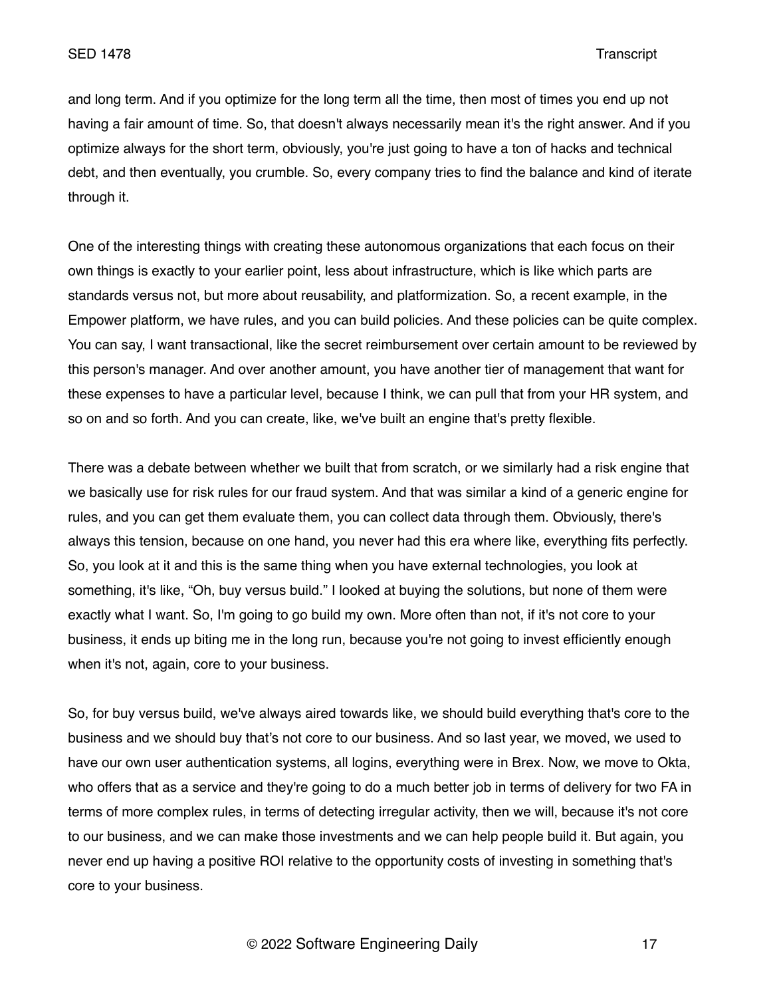and long term. And if you optimize for the long term all the time, then most of times you end up not having a fair amount of time. So, that doesn't always necessarily mean it's the right answer. And if you optimize always for the short term, obviously, you're just going to have a ton of hacks and technical debt, and then eventually, you crumble. So, every company tries to find the balance and kind of iterate through it.

One of the interesting things with creating these autonomous organizations that each focus on their own things is exactly to your earlier point, less about infrastructure, which is like which parts are standards versus not, but more about reusability, and platformization. So, a recent example, in the Empower platform, we have rules, and you can build policies. And these policies can be quite complex. You can say, I want transactional, like the secret reimbursement over certain amount to be reviewed by this person's manager. And over another amount, you have another tier of management that want for these expenses to have a particular level, because I think, we can pull that from your HR system, and so on and so forth. And you can create, like, we've built an engine that's pretty flexible.

There was a debate between whether we built that from scratch, or we similarly had a risk engine that we basically use for risk rules for our fraud system. And that was similar a kind of a generic engine for rules, and you can get them evaluate them, you can collect data through them. Obviously, there's always this tension, because on one hand, you never had this era where like, everything fits perfectly. So, you look at it and this is the same thing when you have external technologies, you look at something, it's like, "Oh, buy versus build." I looked at buying the solutions, but none of them were exactly what I want. So, I'm going to go build my own. More often than not, if it's not core to your business, it ends up biting me in the long run, because you're not going to invest efficiently enough when it's not, again, core to your business.

So, for buy versus build, we've always aired towards like, we should build everything that's core to the business and we should buy that's not core to our business. And so last year, we moved, we used to have our own user authentication systems, all logins, everything were in Brex. Now, we move to Okta, who offers that as a service and they're going to do a much better job in terms of delivery for two FA in terms of more complex rules, in terms of detecting irregular activity, then we will, because it's not core to our business, and we can make those investments and we can help people build it. But again, you never end up having a positive ROI relative to the opportunity costs of investing in something that's core to your business.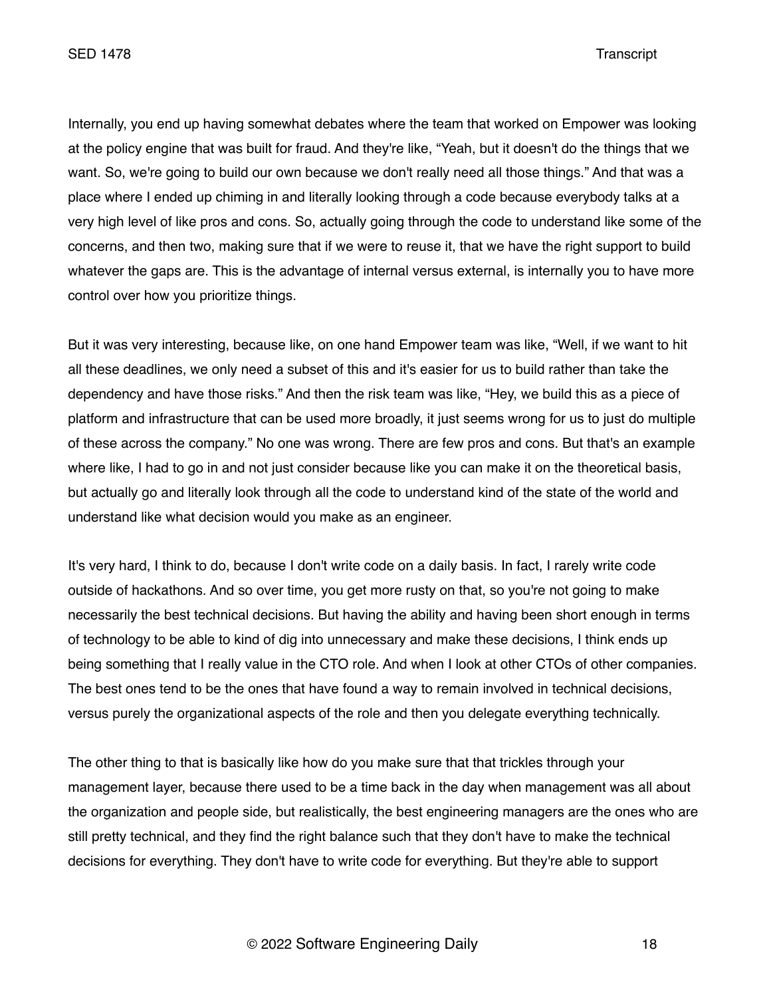SED 1478 Transcript

Internally, you end up having somewhat debates where the team that worked on Empower was looking at the policy engine that was built for fraud. And they're like, "Yeah, but it doesn't do the things that we want. So, we're going to build our own because we don't really need all those things." And that was a place where I ended up chiming in and literally looking through a code because everybody talks at a very high level of like pros and cons. So, actually going through the code to understand like some of the concerns, and then two, making sure that if we were to reuse it, that we have the right support to build whatever the gaps are. This is the advantage of internal versus external, is internally you to have more control over how you prioritize things.

But it was very interesting, because like, on one hand Empower team was like, "Well, if we want to hit all these deadlines, we only need a subset of this and it's easier for us to build rather than take the dependency and have those risks." And then the risk team was like, "Hey, we build this as a piece of platform and infrastructure that can be used more broadly, it just seems wrong for us to just do multiple of these across the company." No one was wrong. There are few pros and cons. But that's an example where like, I had to go in and not just consider because like you can make it on the theoretical basis, but actually go and literally look through all the code to understand kind of the state of the world and understand like what decision would you make as an engineer.

It's very hard, I think to do, because I don't write code on a daily basis. In fact, I rarely write code outside of hackathons. And so over time, you get more rusty on that, so you're not going to make necessarily the best technical decisions. But having the ability and having been short enough in terms of technology to be able to kind of dig into unnecessary and make these decisions, I think ends up being something that I really value in the CTO role. And when I look at other CTOs of other companies. The best ones tend to be the ones that have found a way to remain involved in technical decisions, versus purely the organizational aspects of the role and then you delegate everything technically.

The other thing to that is basically like how do you make sure that that trickles through your management layer, because there used to be a time back in the day when management was all about the organization and people side, but realistically, the best engineering managers are the ones who are still pretty technical, and they find the right balance such that they don't have to make the technical decisions for everything. They don't have to write code for everything. But they're able to support